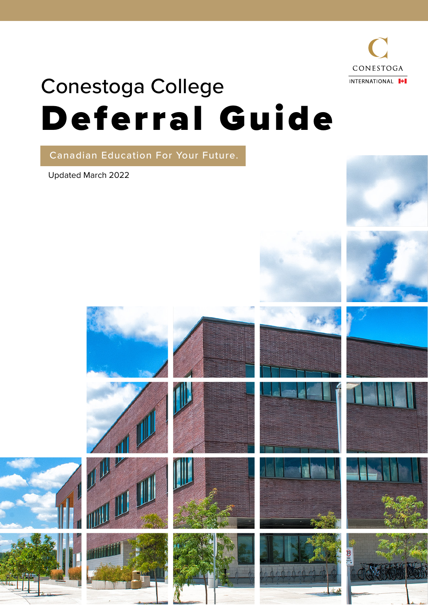

# Conestoga College Deferral Guide

Canadian Education For Your Future.

Updated March 2022

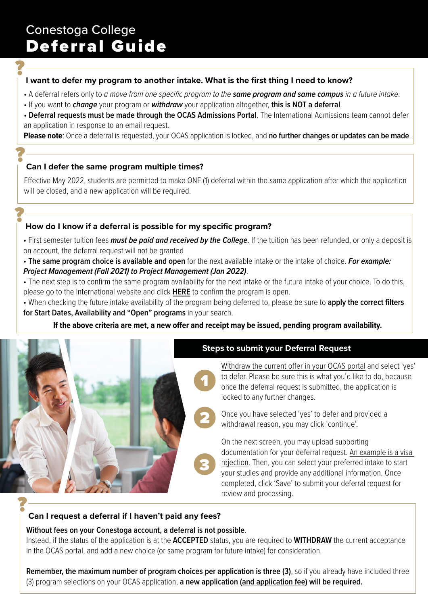# **?** I want to defer my program to another intake. What is the first thing I need to know?

- A deferral refers only to *a move from one specifc program to the same program and same campus in a future intake*.
- If you want to *change* your program or *withdraw* your application altogether, **this is NOT a deferral**.
- **Deferral requests must be made through the OCAS Admissions Portal**. The International Admissions team cannot defer an application in response to an email request.

**Please note**: Once a deferral is requested, your OCAS application is locked, and **no further changes or updates can be made**.

# **? Can I defer the same program multiple times?**

Efective May 2022, students are permitted to make ONE (1) deferral within the same application after which the application will be closed, and a new application will be required.

# **?**<br>P How do I know if a deferral is possible for my specific program?

• First semester tuition fees *must be paid and received by the College*. If the tuition has been refunded, or only a deposit is on account, the deferral request will not be granted

• **The same program choice is available and open** for the next available intake or the intake of choice. *For example: Project Management (Fall 2021) to Project Management (Jan 2022)*.

• The next step is to confirm the same program availability for the next intake or the future intake of your choice. To do this, please go to the International website and click **[HERE](https://international.conestogac.on.ca/programs)** to confrm the program is open.

• When checking the future intake availability of the program being deferred to, please be sure to **apply the correct flters for Start Dates, Availability and "Open" programs** in your search.

### If the above criteria are met, a new offer and receipt may be issued, pending program availability.



### **Without fees on your Conestoga account, a deferral is not possible**.

Instead, if the status of the application is at the **ACCEPTED** status, you are required to **WITHDRAW** the current acceptance in the OCAS portal, and add a new choice (or same program for future intake) for consideration.

**Remember, the maximum number of program choices per application is three (3)**, so if you already have included three (3) program selections on your OCAS application, **a new application (and application fee) will be required.**